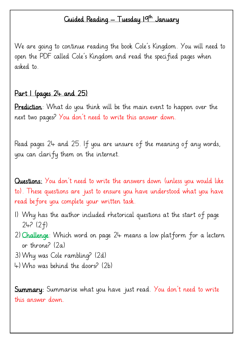## Guided Reading — Tuesday 19<sup>th</sup> January

We are going to continue reading the book Cole's Kingdom. You will need to open the PDF called Cole's Kingdom and read the specified pages when asked to.

## Part 1 (pages 24 and 25)

Prediction: What do you think will be the main event to happen over the next two pages? You don't need to write this answer down.

Read pages 24 and 25. If you are unsure of the meaning of any words, you can clarify them on the internet.

Questions: You don't need to write the answers down (unless you would like to). These questions are just to ensure you have understood what you have read before you complete your written task.

- 1) Why has the author included rhetorical questions at the start of page 24? (2f)
- 2) Challenge: Which word on page 24 means a low platform for a lectern or throne?  $(2a)$
- 3)Why was Cole rambling? (2d)
- 4)Who was behind the doors? (2b)

**Summary:** Summarise what you have just read. You don't need to write this answer down.